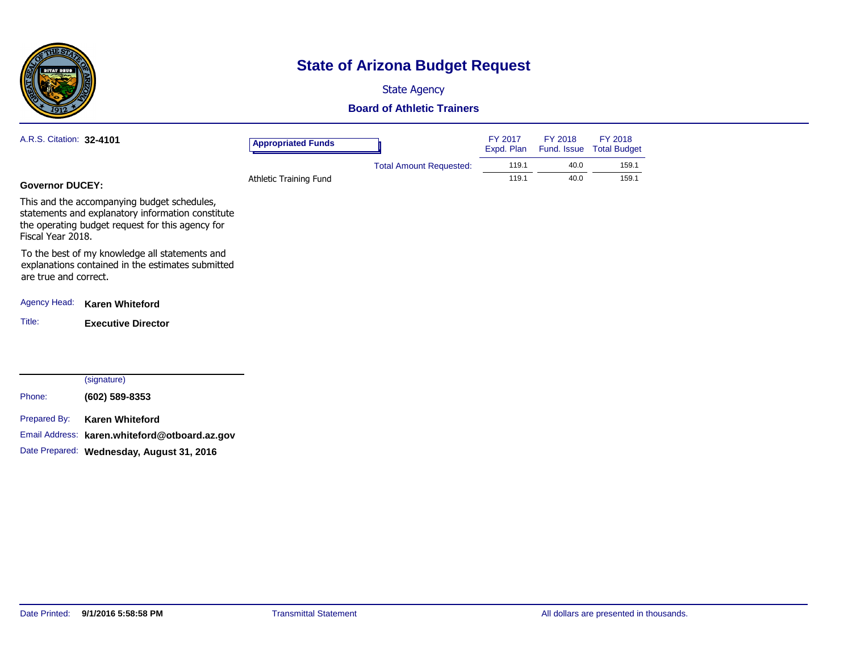

## **State of Arizona Budget Request**

State Agency

#### **Board of Athletic Trainers**

| A.R.S. Citation: 32-4101 |                                                                                                                                                      | <b>Appropriated Funds</b> |                                | FY 2017<br>Expd. Plan | FY 2018<br>Fund. Issue | FY 2018<br><b>Total Budget</b> |
|--------------------------|------------------------------------------------------------------------------------------------------------------------------------------------------|---------------------------|--------------------------------|-----------------------|------------------------|--------------------------------|
|                          |                                                                                                                                                      |                           | <b>Total Amount Requested:</b> | 119.1                 | 40.0                   | 159.1                          |
| <b>Governor DUCEY:</b>   |                                                                                                                                                      | Athletic Training Fund    |                                | 119.1                 | 40.0                   | 159.1                          |
| Fiscal Year 2018.        | This and the accompanying budget schedules,<br>statements and explanatory information constitute<br>the operating budget request for this agency for |                           |                                |                       |                        |                                |
| are true and correct.    | To the best of my knowledge all statements and<br>explanations contained in the estimates submitted                                                  |                           |                                |                       |                        |                                |
| <b>Agency Head:</b>      | <b>Karen Whiteford</b>                                                                                                                               |                           |                                |                       |                        |                                |
| Title:                   | <b>Executive Director</b>                                                                                                                            |                           |                                |                       |                        |                                |
|                          | (signature)                                                                                                                                          |                           |                                |                       |                        |                                |
| Phone:                   | (602) 589-8353                                                                                                                                       |                           |                                |                       |                        |                                |
| Prepared By:             | <b>Karen Whiteford</b>                                                                                                                               |                           |                                |                       |                        |                                |
| Email Address:           | karen.whiteford@otboard.az.gov                                                                                                                       |                           |                                |                       |                        |                                |

Date Prepared: **Wednesday, August 31, 2016**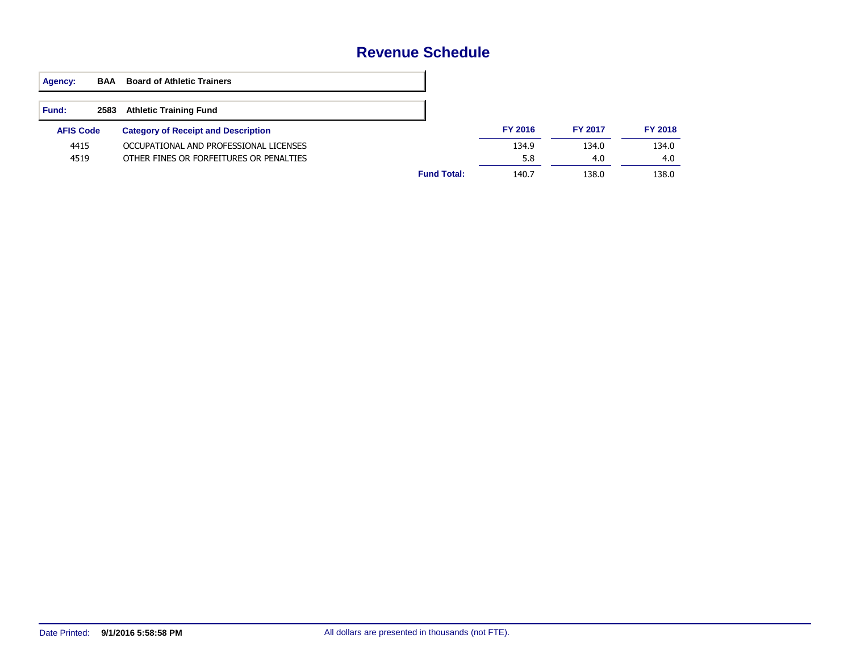#### **Revenue Schedule**

| Agency:          | <b>BAA</b> | <b>Board of Athletic Trainers</b>          |                    |                |                |                |
|------------------|------------|--------------------------------------------|--------------------|----------------|----------------|----------------|
| <b>Fund:</b>     | 2583       | <b>Athletic Training Fund</b>              |                    |                |                |                |
| <b>AFIS Code</b> |            | <b>Category of Receipt and Description</b> |                    | <b>FY 2016</b> | <b>FY 2017</b> | <b>FY 2018</b> |
| 4415             |            | OCCUPATIONAL AND PROFESSIONAL LICENSES     |                    | 134.9          | 134.0          | 134.0          |
| 4519             |            | OTHER FINES OR FORFEITURES OR PENALTIES    |                    | 5.8            | 4.0            | 4.0            |
|                  |            |                                            | <b>Fund Total:</b> | 140.7          | 138.0          | 138.0          |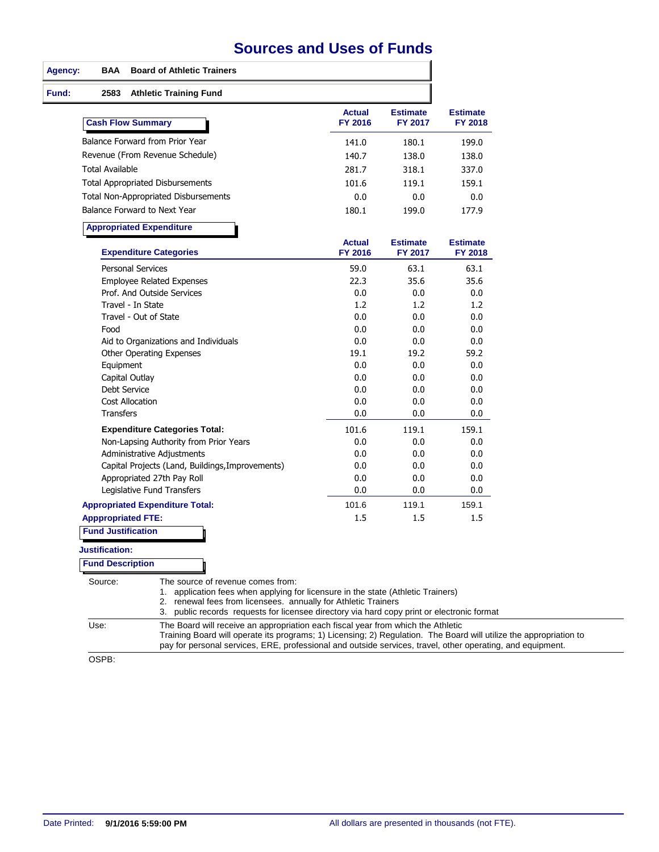## **Sources and Uses of Funds**

| <b>BAA</b><br><b>Board of Athletic Trainers</b>                                                                                                                                                                                                                                                                              |                                 |                            |                            |
|------------------------------------------------------------------------------------------------------------------------------------------------------------------------------------------------------------------------------------------------------------------------------------------------------------------------------|---------------------------------|----------------------------|----------------------------|
| 2583<br><b>Athletic Training Fund</b>                                                                                                                                                                                                                                                                                        |                                 |                            |                            |
| <b>Cash Flow Summary</b>                                                                                                                                                                                                                                                                                                     | <b>Actual</b><br><b>FY 2016</b> | <b>Estimate</b><br>FY 2017 | <b>Estimate</b><br>FY 2018 |
| Balance Forward from Prior Year                                                                                                                                                                                                                                                                                              | 141.0                           | 180.1                      | 199.0                      |
| Revenue (From Revenue Schedule)                                                                                                                                                                                                                                                                                              | 140.7                           | 138.0                      | 138.0                      |
| <b>Total Available</b>                                                                                                                                                                                                                                                                                                       | 281.7                           | 318.1                      | 337.0                      |
| <b>Total Appropriated Disbursements</b>                                                                                                                                                                                                                                                                                      | 101.6                           | 119.1                      | 159.1                      |
| <b>Total Non-Appropriated Disbursements</b>                                                                                                                                                                                                                                                                                  | 0.0                             | 0.0                        | 0.0                        |
| Balance Forward to Next Year                                                                                                                                                                                                                                                                                                 | 180.1                           | 199.0                      | 177.9                      |
| <b>Appropriated Expenditure</b>                                                                                                                                                                                                                                                                                              |                                 |                            |                            |
| <b>Expenditure Categories</b>                                                                                                                                                                                                                                                                                                | <b>Actual</b><br>FY 2016        | <b>Estimate</b><br>FY 2017 | <b>Estimate</b><br>FY 2018 |
| <b>Personal Services</b>                                                                                                                                                                                                                                                                                                     | 59.0                            | 63.1                       | 63.1                       |
| <b>Employee Related Expenses</b>                                                                                                                                                                                                                                                                                             | 22.3                            | 35.6                       | 35.6                       |
| Prof. And Outside Services                                                                                                                                                                                                                                                                                                   | 0.0                             | 0.0                        | 0.0                        |
| Travel - In State                                                                                                                                                                                                                                                                                                            | 1.2                             | 1.2                        | 1.2                        |
| Travel - Out of State                                                                                                                                                                                                                                                                                                        | 0.0                             | 0.0                        | 0.0                        |
| Food                                                                                                                                                                                                                                                                                                                         | 0.0                             | 0.0                        | 0.0                        |
| Aid to Organizations and Individuals                                                                                                                                                                                                                                                                                         | 0.0                             | 0.0                        | 0.0                        |
| Other Operating Expenses                                                                                                                                                                                                                                                                                                     | 19.1<br>0.0                     | 19.2<br>0.0                | 59.2<br>0.0                |
| Equipment                                                                                                                                                                                                                                                                                                                    | 0.0                             | 0.0                        | 0.0                        |
| Capital Outlay<br>Debt Service                                                                                                                                                                                                                                                                                               | 0.0                             | 0.0                        | 0.0                        |
| <b>Cost Allocation</b>                                                                                                                                                                                                                                                                                                       | 0.0                             | 0.0                        | 0.0                        |
| <b>Transfers</b>                                                                                                                                                                                                                                                                                                             | 0.0                             | 0.0                        | 0.0                        |
| <b>Expenditure Categories Total:</b>                                                                                                                                                                                                                                                                                         | 101.6                           | 119.1                      | 159.1                      |
| Non-Lapsing Authority from Prior Years                                                                                                                                                                                                                                                                                       | 0.0                             | 0.0                        | 0.0                        |
| Administrative Adjustments                                                                                                                                                                                                                                                                                                   | 0.0                             | 0.0                        | 0.0                        |
| Capital Projects (Land, Buildings, Improvements)                                                                                                                                                                                                                                                                             | 0.0                             | 0.0                        | 0.0                        |
| Appropriated 27th Pay Roll                                                                                                                                                                                                                                                                                                   | 0.0                             | 0.0                        | 0.0                        |
| Legislative Fund Transfers                                                                                                                                                                                                                                                                                                   | 0.0                             | 0.0                        | 0.0                        |
| <b>Appropriated Expenditure Total:</b>                                                                                                                                                                                                                                                                                       | 101.6                           | 119.1                      | 159.1                      |
| <b>Apppropriated FTE:</b>                                                                                                                                                                                                                                                                                                    | 1.5                             | 1.5                        | 1.5                        |
| <b>Fund Justification</b>                                                                                                                                                                                                                                                                                                    |                                 |                            |                            |
| <b>Justification:</b>                                                                                                                                                                                                                                                                                                        |                                 |                            |                            |
| <b>Fund Description</b>                                                                                                                                                                                                                                                                                                      |                                 |                            |                            |
| The source of revenue comes from:<br>Source:<br>1. application fees when applying for licensure in the state (Athletic Trainers)<br>2. renewal fees from licensees. annually for Athletic Trainers<br>3. public records requests for licensee directory via hard copy print or electronic format                             |                                 |                            |                            |
| Use:<br>The Board will receive an appropriation each fiscal year from which the Athletic<br>Training Board will operate its programs; 1) Licensing; 2) Regulation. The Board will utilize the appropriation to<br>pay for personal services, ERE, professional and outside services, travel, other operating, and equipment. |                                 |                            |                            |

OSPB: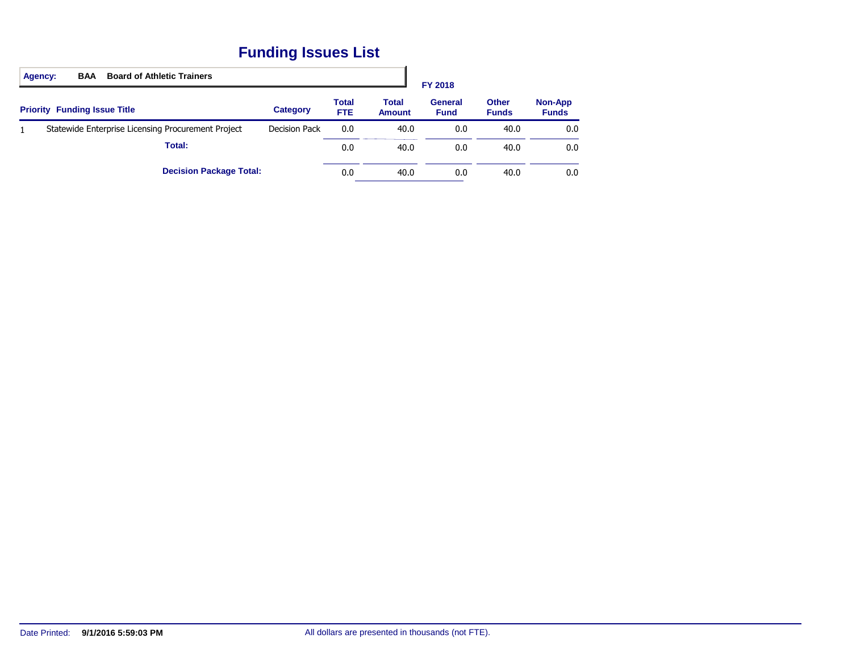## **Funding Issues List**

|              | <b>Board of Athletic Trainers</b><br><b>BAA</b><br>Agency: |                      |                      |                        | FY 2018                       |                              |                                |
|--------------|------------------------------------------------------------|----------------------|----------------------|------------------------|-------------------------------|------------------------------|--------------------------------|
|              | <b>Priority Funding Issue Title</b>                        | <b>Category</b>      | <b>Total</b><br>FTE. | Total<br><b>Amount</b> | <b>General</b><br><b>Fund</b> | <b>Other</b><br><b>Funds</b> | <b>Non-App</b><br><b>Funds</b> |
| $\mathbf{1}$ | Statewide Enterprise Licensing Procurement Project         | <b>Decision Pack</b> | 0.0                  | 40.0                   | 0.0                           | 40.0                         | 0.0                            |
|              | Total:                                                     |                      | 0.0                  | 40.0                   | 0.0                           | 40.0                         | 0.0                            |
|              | <b>Decision Package Total:</b>                             |                      | 0.0                  | 40.0                   | 0.0                           | 40.0                         | 0.0                            |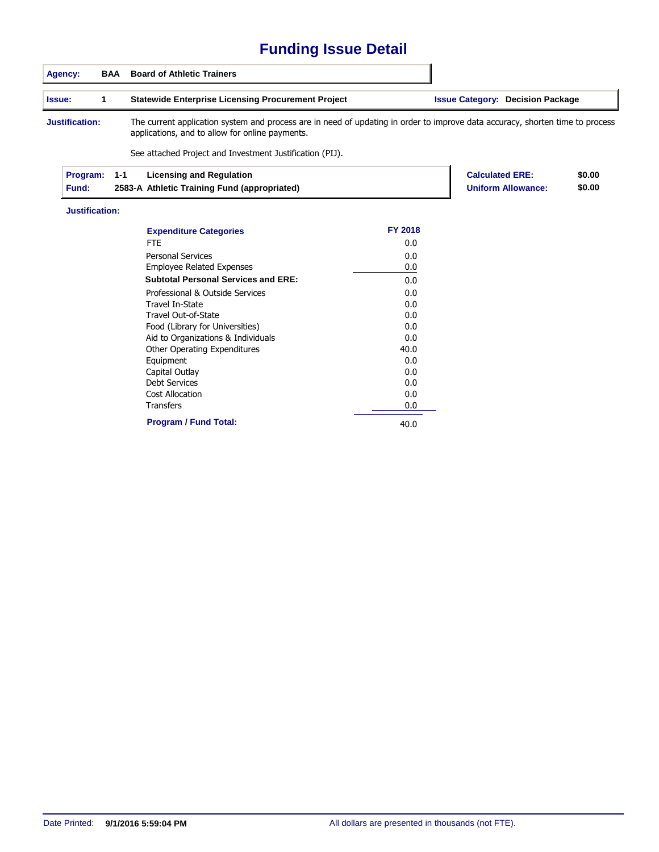## **Funding Issue Detail**

|               | Agency:                  | BAA | <b>Board of Athletic Trainers</b>                                                                                                                                                                                                            |                |                                         |                                                     |                  |
|---------------|--------------------------|-----|----------------------------------------------------------------------------------------------------------------------------------------------------------------------------------------------------------------------------------------------|----------------|-----------------------------------------|-----------------------------------------------------|------------------|
| <b>Issue:</b> |                          | 1   | <b>Statewide Enterprise Licensing Procurement Project</b>                                                                                                                                                                                    |                | <b>Issue Category: Decision Package</b> |                                                     |                  |
|               | Justification:           |     | The current application system and process are in need of updating in order to improve data accuracy, shorten time to process<br>applications, and to allow for online payments.<br>See attached Project and Investment Justification (PIJ). |                |                                         |                                                     |                  |
|               | Program:<br><b>Fund:</b> | 1-1 | <b>Licensing and Regulation</b><br>2583-A Athletic Training Fund (appropriated)                                                                                                                                                              |                |                                         | <b>Calculated ERE:</b><br><b>Uniform Allowance:</b> | \$0.00<br>\$0.00 |
|               | Justification:           |     |                                                                                                                                                                                                                                              |                |                                         |                                                     |                  |
|               |                          |     | <b>Expenditure Categories</b>                                                                                                                                                                                                                | <b>FY 2018</b> |                                         |                                                     |                  |
|               |                          |     | <b>FTE</b>                                                                                                                                                                                                                                   | 0.0            |                                         |                                                     |                  |
|               |                          |     | <b>Personal Services</b>                                                                                                                                                                                                                     | 0.0            |                                         |                                                     |                  |
|               |                          |     | <b>Employee Related Expenses</b>                                                                                                                                                                                                             | 0.0            |                                         |                                                     |                  |

| <b>Employee Related Expenses</b>           | 0.0  |
|--------------------------------------------|------|
| <b>Subtotal Personal Services and ERE:</b> | 0.0  |
| Professional & Outside Services            | 0.0  |
| Travel In-State                            | 0.0  |
| Travel Out-of-State                        | 0.0  |
| Food (Library for Universities)            | 0.0  |
| Aid to Organizations & Individuals         | 0.0  |
| <b>Other Operating Expenditures</b>        | 40.0 |
| Equipment                                  | 0.0  |
| Capital Outlay                             | 0.0  |
| <b>Debt Services</b>                       | 0.0  |
| Cost Allocation                            | 0.0  |
| <b>Transfers</b>                           | 0.0  |
| <b>Program / Fund Total:</b>               | 40.0 |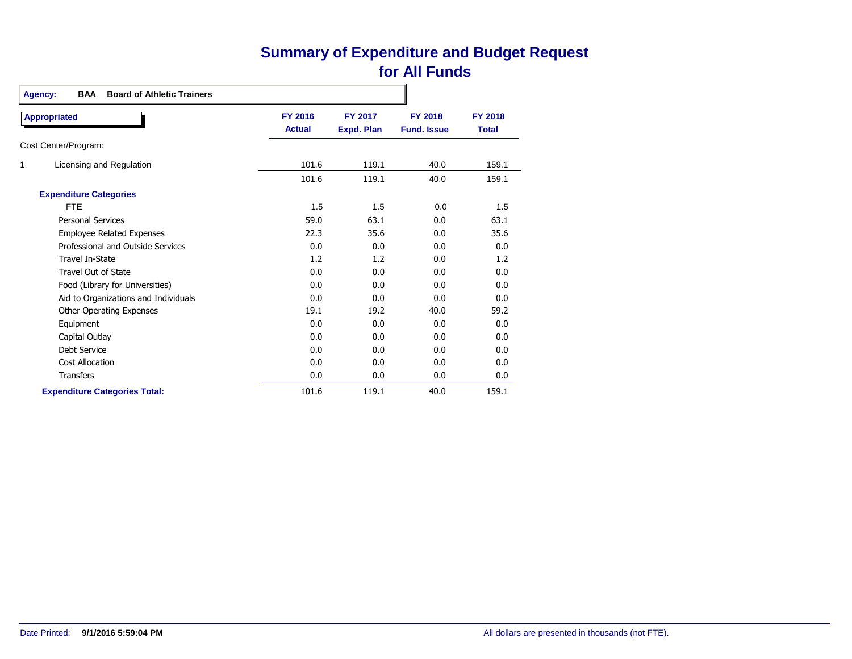## **Summary of Expenditure and Budget Request for All Funds**

| <b>BAA</b><br><b>Board of Athletic Trainers</b><br><b>Agency:</b> |                                 |                                     |                                      |                                |
|-------------------------------------------------------------------|---------------------------------|-------------------------------------|--------------------------------------|--------------------------------|
| <b>Appropriated</b>                                               | <b>FY 2016</b><br><b>Actual</b> | <b>FY 2017</b><br><b>Expd. Plan</b> | <b>FY 2018</b><br><b>Fund, Issue</b> | <b>FY 2018</b><br><b>Total</b> |
| Cost Center/Program:                                              |                                 |                                     |                                      |                                |
| 1<br>Licensing and Regulation                                     | 101.6                           | 119.1                               | 40.0                                 | 159.1                          |
|                                                                   | 101.6                           | 119.1                               | 40.0                                 | 159.1                          |
| <b>Expenditure Categories</b>                                     |                                 |                                     |                                      |                                |
| <b>FTE</b>                                                        | 1.5                             | 1.5                                 | 0.0                                  | 1.5                            |
| <b>Personal Services</b>                                          | 59.0                            | 63.1                                | 0.0                                  | 63.1                           |
| <b>Employee Related Expenses</b>                                  | 22.3                            | 35.6                                | 0.0                                  | 35.6                           |
| Professional and Outside Services                                 | 0.0                             | 0.0                                 | 0.0                                  | 0.0                            |
| <b>Travel In-State</b>                                            | 1.2                             | 1.2                                 | 0.0                                  | 1.2                            |
| Travel Out of State                                               | 0.0                             | 0.0                                 | 0.0                                  | 0.0                            |
| Food (Library for Universities)                                   | 0.0                             | 0.0                                 | 0.0                                  | 0.0                            |
| Aid to Organizations and Individuals                              | 0.0                             | 0.0                                 | 0.0                                  | 0.0                            |
| <b>Other Operating Expenses</b>                                   | 19.1                            | 19.2                                | 40.0                                 | 59.2                           |
| Equipment                                                         | 0.0                             | 0.0                                 | 0.0                                  | 0.0                            |
| Capital Outlay                                                    | 0.0                             | 0.0                                 | 0.0                                  | 0.0                            |
| Debt Service                                                      | 0.0                             | 0.0                                 | 0.0                                  | 0.0                            |
| Cost Allocation                                                   | 0.0                             | 0.0                                 | 0.0                                  | 0.0                            |
| <b>Transfers</b>                                                  | 0.0                             | 0.0                                 | 0.0                                  | 0.0                            |
| <b>Expenditure Categories Total:</b>                              | 101.6                           | 119.1                               | 40.0                                 | 159.1                          |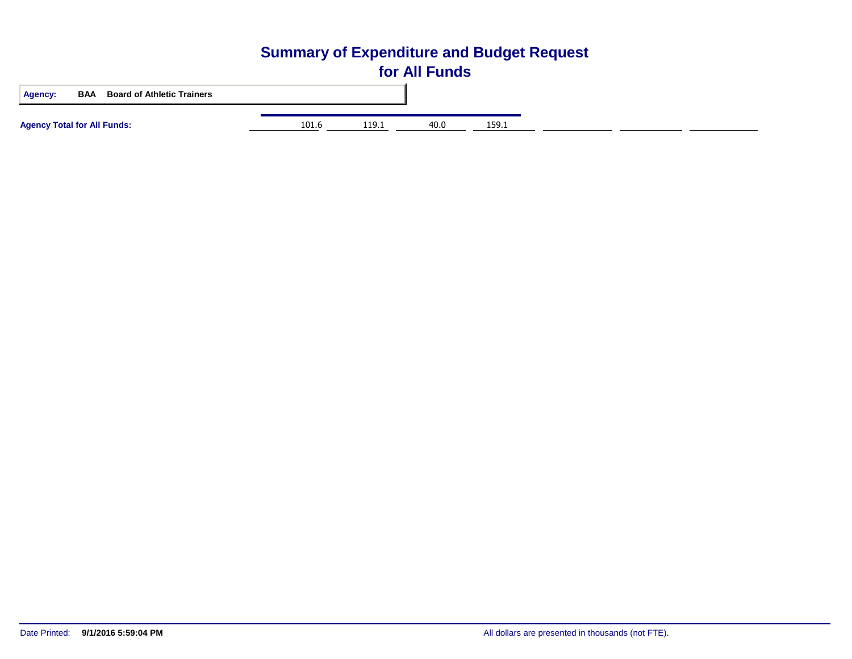# **Summary of Expenditure and Budget Request for All Funds Agency: BAA Board of Athletic Trainers Agency Total for All Funds:** 101.6 119.1 40.0 159.1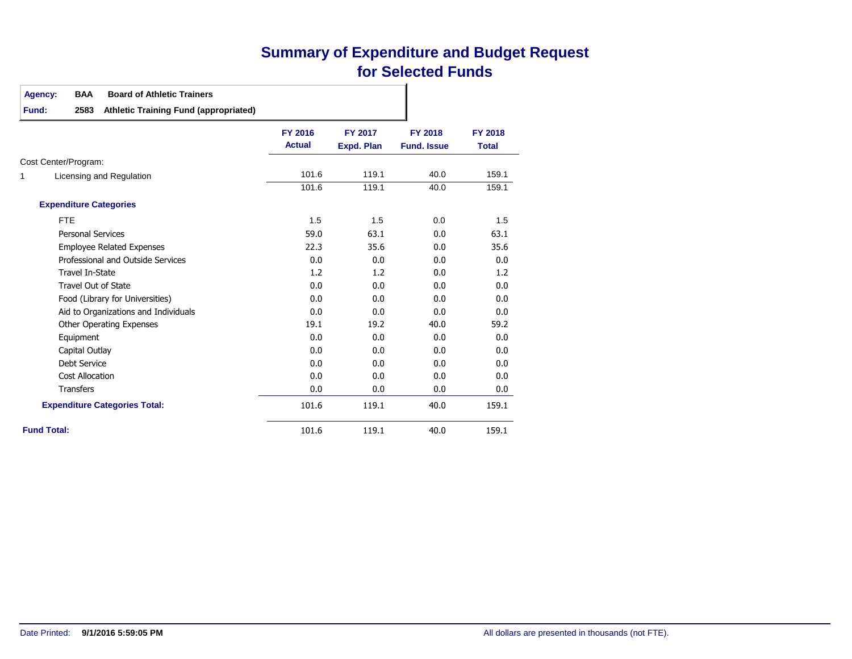## **Summary of Expenditure and Budget Request for Selected Funds**

#### **Agency: BAA Board of Athletic Trainers**

**Fund: 2583 Athletic Training Fund (appropriated)**

|   |                                      | <b>FY 2016</b><br><b>Actual</b> | <b>FY 2017</b><br><b>Expd. Plan</b> | <b>FY 2018</b><br><b>Fund, Issue</b> | <b>FY 2018</b><br><b>Total</b> |
|---|--------------------------------------|---------------------------------|-------------------------------------|--------------------------------------|--------------------------------|
|   | Cost Center/Program:                 |                                 |                                     |                                      |                                |
| 1 | Licensing and Regulation             | 101.6                           | 119.1                               | 40.0                                 | 159.1                          |
|   |                                      | 101.6                           | 119.1                               | 40.0                                 | 159.1                          |
|   | <b>Expenditure Categories</b>        |                                 |                                     |                                      |                                |
|   | <b>FTE</b>                           | 1.5                             | 1.5                                 | 0.0                                  | 1.5                            |
|   | <b>Personal Services</b>             | 59.0                            | 63.1                                | 0.0                                  | 63.1                           |
|   | <b>Employee Related Expenses</b>     | 22.3                            | 35.6                                | 0.0                                  | 35.6                           |
|   | Professional and Outside Services    | 0.0                             | 0.0                                 | 0.0                                  | 0.0                            |
|   | Travel In-State                      | 1.2                             | 1.2                                 | 0.0                                  | 1.2                            |
|   | <b>Travel Out of State</b>           | 0.0                             | 0.0                                 | 0.0                                  | 0.0                            |
|   | Food (Library for Universities)      | 0.0                             | 0.0                                 | 0.0                                  | 0.0                            |
|   | Aid to Organizations and Individuals | 0.0                             | 0.0                                 | 0.0                                  | 0.0                            |
|   | <b>Other Operating Expenses</b>      | 19.1                            | 19.2                                | 40.0                                 | 59.2                           |
|   | Equipment                            | 0.0                             | 0.0                                 | 0.0                                  | 0.0                            |
|   | Capital Outlay                       | 0.0                             | 0.0                                 | 0.0                                  | 0.0                            |
|   | <b>Debt Service</b>                  | 0.0                             | 0.0                                 | 0.0                                  | 0.0                            |
|   | <b>Cost Allocation</b>               | 0.0                             | 0.0                                 | 0.0                                  | 0.0                            |
|   | <b>Transfers</b>                     | 0.0                             | 0.0                                 | 0.0                                  | 0.0                            |
|   | <b>Expenditure Categories Total:</b> | 101.6                           | 119.1                               | 40.0                                 | 159.1                          |
|   | <b>Fund Total:</b>                   | 101.6                           | 119.1                               | 40.0                                 | 159.1                          |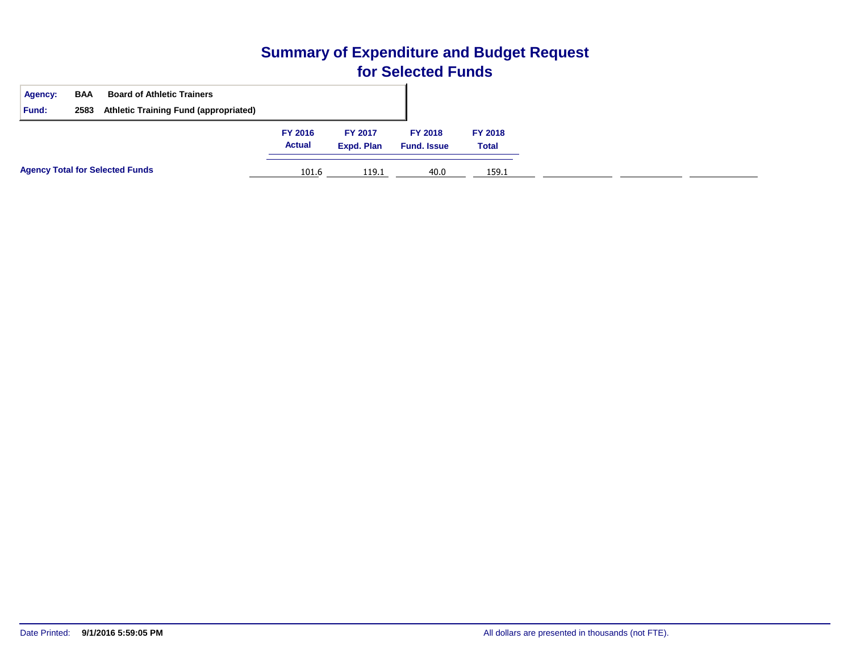## **Summary of Expenditure and Budget Request for Selected Funds**

| <b>Agency:</b><br><b>Fund:</b> | <b>BAA</b><br>2583 | <b>Board of Athletic Trainers</b><br><b>Athletic Training Fund (appropriated)</b> |                          |                              |                                      |                                |
|--------------------------------|--------------------|-----------------------------------------------------------------------------------|--------------------------|------------------------------|--------------------------------------|--------------------------------|
|                                |                    |                                                                                   | FY 2016<br><b>Actual</b> | <b>FY 2017</b><br>Expd. Plan | <b>FY 2018</b><br><b>Fund. Issue</b> | <b>FY 2018</b><br><b>Total</b> |
|                                |                    | <b>Agency Total for Selected Funds</b>                                            | 101.6                    | 119.1                        | 40.0                                 | 159.1                          |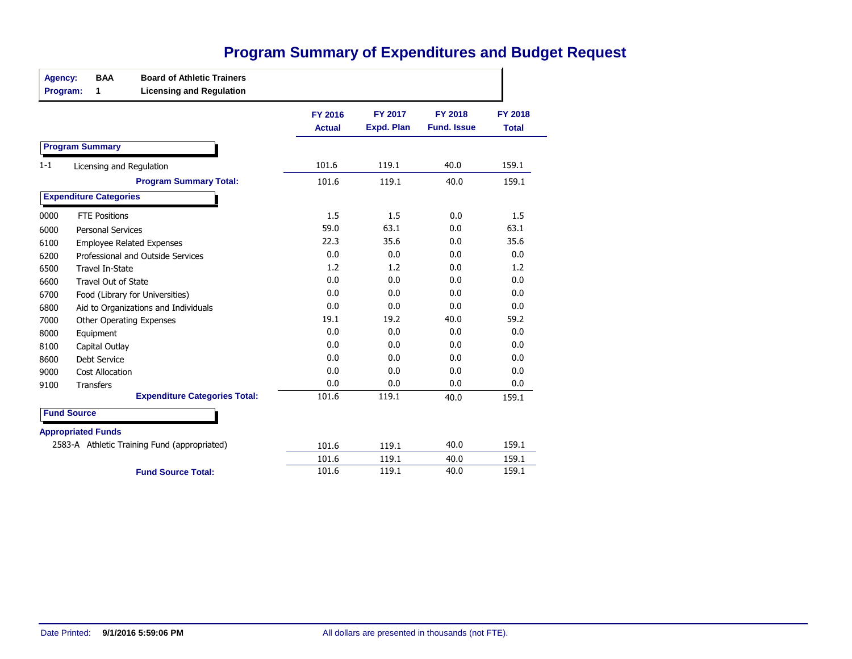| Agency:<br>Program: | 1                             | <b>BAA</b>           | <b>Board of Athletic Trainers</b><br><b>Licensing and Regulation</b> |                                 |                                     |                                      |                                |
|---------------------|-------------------------------|----------------------|----------------------------------------------------------------------|---------------------------------|-------------------------------------|--------------------------------------|--------------------------------|
|                     |                               |                      |                                                                      | <b>FY 2016</b><br><b>Actual</b> | <b>FY 2017</b><br><b>Expd. Plan</b> | <b>FY 2018</b><br><b>Fund. Issue</b> | <b>FY 2018</b><br><b>Total</b> |
|                     | <b>Program Summary</b>        |                      |                                                                      |                                 |                                     |                                      |                                |
| 1-1                 |                               |                      | Licensing and Regulation                                             | 101.6                           | 119.1                               | 40.0                                 | 159.1                          |
|                     |                               |                      | <b>Program Summary Total:</b>                                        | 101.6                           | 119.1                               | 40.0                                 | 159.1                          |
|                     | <b>Expenditure Categories</b> |                      |                                                                      |                                 |                                     |                                      |                                |
| 0000                |                               | <b>FTE Positions</b> |                                                                      | 1.5                             | 1.5                                 | 0.0                                  | 1.5                            |
| 6000                | <b>Personal Services</b>      |                      |                                                                      | 59.0                            | 63.1                                | 0.0                                  | 63.1                           |
| 6100                |                               |                      | <b>Employee Related Expenses</b>                                     | 22.3                            | 35.6                                | 0.0                                  | 35.6                           |
| 6200                |                               |                      | Professional and Outside Services                                    | 0.0                             | 0.0                                 | 0.0                                  | 0.0                            |
| 6500                | <b>Travel In-State</b>        |                      |                                                                      | 1.2                             | 1.2                                 | 0.0                                  | 1.2                            |
| 6600                | <b>Travel Out of State</b>    |                      |                                                                      | 0.0                             | 0.0                                 | 0.0                                  | 0.0                            |
| 6700                |                               |                      | Food (Library for Universities)                                      | 0.0                             | 0.0                                 | 0.0                                  | 0.0                            |
| 6800                |                               |                      | Aid to Organizations and Individuals                                 | 0.0                             | 0.0                                 | 0.0                                  | 0.0                            |
| 7000                |                               |                      | <b>Other Operating Expenses</b>                                      | 19.1                            | 19.2                                | 40.0                                 | 59.2                           |
| 8000                | Equipment                     |                      |                                                                      | 0.0                             | 0.0                                 | 0.0                                  | 0.0                            |
| 8100                | Capital Outlay                |                      |                                                                      | 0.0                             | 0.0                                 | 0.0                                  | 0.0                            |
| 8600                | <b>Debt Service</b>           |                      |                                                                      | 0.0                             | 0.0                                 | 0.0                                  | 0.0                            |
| 9000                | <b>Cost Allocation</b>        |                      |                                                                      | 0.0                             | 0.0                                 | 0.0                                  | 0.0                            |
| 9100                | <b>Transfers</b>              |                      |                                                                      | 0.0                             | 0.0                                 | 0.0                                  | 0.0                            |
|                     |                               |                      | <b>Expenditure Categories Total:</b>                                 | 101.6                           | 119.1                               | 40.0                                 | 159.1                          |
| <b>Fund Source</b>  |                               |                      |                                                                      |                                 |                                     |                                      |                                |
|                     | <b>Appropriated Funds</b>     |                      |                                                                      |                                 |                                     |                                      |                                |
|                     |                               |                      | 2583-A Athletic Training Fund (appropriated)                         | 101.6                           | 119.1                               | 40.0                                 | 159.1                          |
|                     |                               |                      |                                                                      | 101.6                           | 119.1                               | 40.0                                 | 159.1                          |
|                     |                               |                      | <b>Fund Source Total:</b>                                            | 101.6                           | 119.1                               | 40.0                                 | 159.1                          |

## **Program Summary of Expenditures and Budget Request**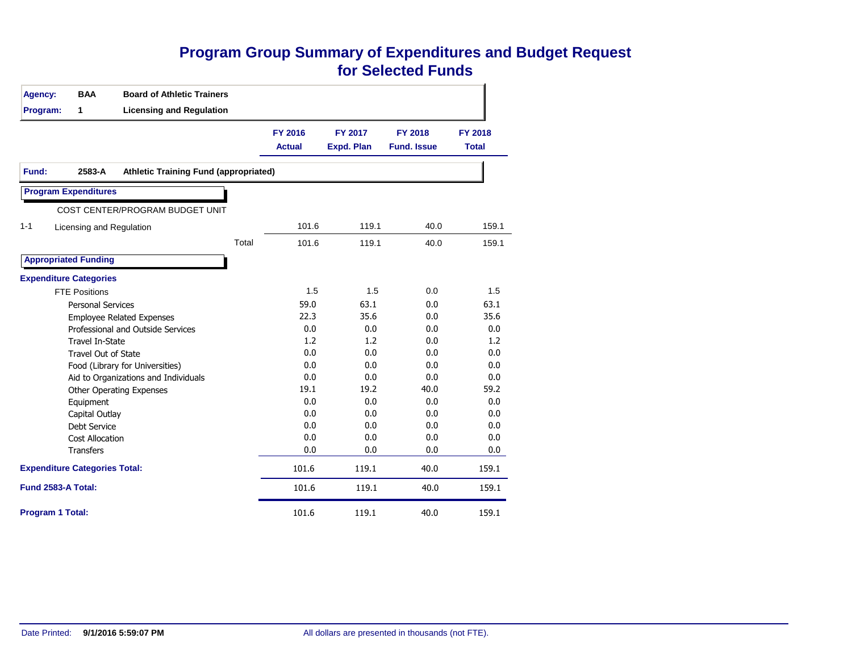#### **Program Group Summary of Expenditures and Budget Request for Selected Funds**

| <b>Agency:</b>                       | <b>BAA</b>                  | <b>Board of Athletic Trainers</b>            |                                 |                              |                                      |                                |
|--------------------------------------|-----------------------------|----------------------------------------------|---------------------------------|------------------------------|--------------------------------------|--------------------------------|
| Program:                             | 1                           | <b>Licensing and Regulation</b>              |                                 |                              |                                      |                                |
|                                      |                             |                                              | <b>FY 2016</b><br><b>Actual</b> | FY 2017<br><b>Expd. Plan</b> | <b>FY 2018</b><br><b>Fund. Issue</b> | <b>FY 2018</b><br><b>Total</b> |
| Fund:                                | 2583-A                      | <b>Athletic Training Fund (appropriated)</b> |                                 |                              |                                      |                                |
|                                      | <b>Program Expenditures</b> |                                              |                                 |                              |                                      |                                |
|                                      |                             | COST CENTER/PROGRAM BUDGET UNIT              |                                 |                              |                                      |                                |
| $1 - 1$                              | Licensing and Regulation    |                                              | 101.6                           | 119.1                        | 40.0                                 | 159.1                          |
|                                      |                             | Total                                        | 101.6                           | 119.1                        | 40.0                                 | 159.1                          |
|                                      | <b>Appropriated Funding</b> |                                              |                                 |                              |                                      |                                |
| <b>Expenditure Categories</b>        |                             |                                              |                                 |                              |                                      |                                |
|                                      | <b>FTE Positions</b>        |                                              | 1.5                             | 1.5                          | 0.0                                  | 1.5                            |
|                                      | <b>Personal Services</b>    |                                              | 59.0                            | 63.1                         | 0.0                                  | 63.1                           |
|                                      |                             | <b>Employee Related Expenses</b>             | 22.3                            | 35.6                         | 0.0                                  | 35.6                           |
|                                      |                             | Professional and Outside Services            | 0.0                             | 0.0                          | 0.0                                  | 0.0                            |
|                                      | <b>Travel In-State</b>      |                                              | 1.2                             | 1.2                          | 0.0                                  | 1.2                            |
|                                      | <b>Travel Out of State</b>  |                                              | 0.0                             | 0.0                          | 0.0                                  | 0.0                            |
|                                      |                             | Food (Library for Universities)              | 0.0                             | 0.0                          | 0.0                                  | 0.0                            |
|                                      |                             | Aid to Organizations and Individuals         | 0.0                             | 0.0                          | 0.0                                  | 0.0                            |
|                                      |                             | <b>Other Operating Expenses</b>              | 19.1                            | 19.2                         | 40.0                                 | 59.2                           |
|                                      | Equipment                   |                                              | 0.0                             | 0.0                          | 0.0                                  | 0.0                            |
|                                      | Capital Outlay              |                                              | 0.0                             | 0.0                          | 0.0                                  | 0.0                            |
|                                      | <b>Debt Service</b>         |                                              | 0.0                             | 0.0                          | 0.0                                  | 0.0                            |
|                                      | <b>Cost Allocation</b>      |                                              | 0.0                             | 0.0                          | 0.0                                  | 0.0                            |
|                                      | <b>Transfers</b>            |                                              | 0.0                             | 0.0                          | 0.0                                  | 0.0                            |
| <b>Expenditure Categories Total:</b> |                             |                                              | 101.6                           | 119.1                        | 40.0                                 | 159.1                          |
| Fund 2583-A Total:                   |                             |                                              | 101.6                           | 119.1                        | 40.0                                 | 159.1                          |
| <b>Program 1 Total:</b>              |                             |                                              | 101.6                           | 119.1                        | 40.0                                 | 159.1                          |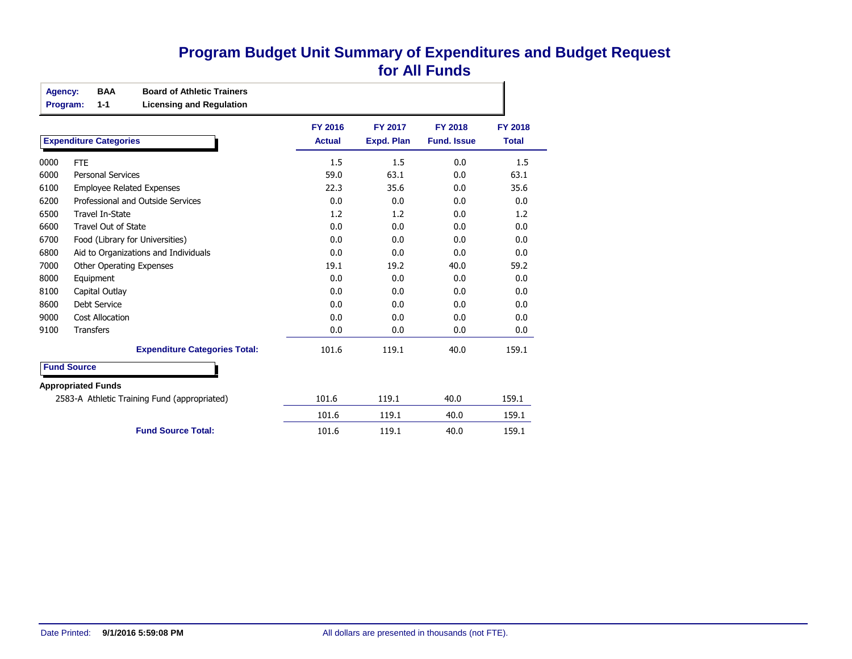#### **Program Budget Unit Summary of Expenditures and Budget Request for All Funds**

| Agency: | <b>BAA</b><br>$1 - 1$<br>Program: | <b>Board of Athletic Trainers</b><br><b>Licensing and Regulation</b> |                                 |                                     |                                      |                                |
|---------|-----------------------------------|----------------------------------------------------------------------|---------------------------------|-------------------------------------|--------------------------------------|--------------------------------|
|         | <b>Expenditure Categories</b>     |                                                                      | <b>FY 2016</b><br><b>Actual</b> | <b>FY 2017</b><br><b>Expd. Plan</b> | <b>FY 2018</b><br><b>Fund. Issue</b> | <b>FY 2018</b><br><b>Total</b> |
| 0000    | <b>FTE</b>                        |                                                                      | 1.5                             | 1.5                                 | 0.0                                  | 1.5                            |
| 6000    | <b>Personal Services</b>          |                                                                      | 59.0                            | 63.1                                | 0.0                                  | 63.1                           |
| 6100    | <b>Employee Related Expenses</b>  |                                                                      | 22.3                            | 35.6                                | 0.0                                  | 35.6                           |
| 6200    |                                   | Professional and Outside Services                                    | 0.0                             | 0.0                                 | 0.0                                  | 0.0                            |
| 6500    | <b>Travel In-State</b>            |                                                                      | 1.2                             | 1.2                                 | 0.0                                  | 1.2                            |
| 6600    | <b>Travel Out of State</b>        |                                                                      | 0.0                             | 0.0                                 | 0.0                                  | 0.0                            |
| 6700    | Food (Library for Universities)   |                                                                      | 0.0                             | 0.0                                 | 0.0                                  | 0.0                            |
| 6800    |                                   | Aid to Organizations and Individuals                                 | 0.0                             | 0.0                                 | 0.0                                  | 0.0                            |
| 7000    | <b>Other Operating Expenses</b>   |                                                                      | 19.1                            | 19.2                                | 40.0                                 | 59.2                           |
| 8000    | Equipment                         |                                                                      | 0.0                             | 0.0                                 | 0.0                                  | 0.0                            |
| 8100    | Capital Outlay                    |                                                                      | 0.0                             | 0.0                                 | 0.0                                  | 0.0                            |
| 8600    | Debt Service                      |                                                                      | 0.0                             | 0.0                                 | 0.0                                  | 0.0                            |
| 9000    | <b>Cost Allocation</b>            |                                                                      | 0.0                             | 0.0                                 | 0.0                                  | 0.0                            |
| 9100    | <b>Transfers</b>                  |                                                                      | 0.0                             | 0.0                                 | 0.0                                  | 0.0                            |
|         |                                   | <b>Expenditure Categories Total:</b>                                 | 101.6                           | 119.1                               | 40.0                                 | 159.1                          |
|         | <b>Fund Source</b>                |                                                                      |                                 |                                     |                                      |                                |
|         | <b>Appropriated Funds</b>         |                                                                      |                                 |                                     |                                      |                                |
|         |                                   | 2583-A Athletic Training Fund (appropriated)                         | 101.6                           | 119.1                               | 40.0                                 | 159.1                          |
|         |                                   |                                                                      | 101.6                           | 119.1                               | 40.0                                 | 159.1                          |

**Fund Source Total:** 101.6 119.1 40.0 159.1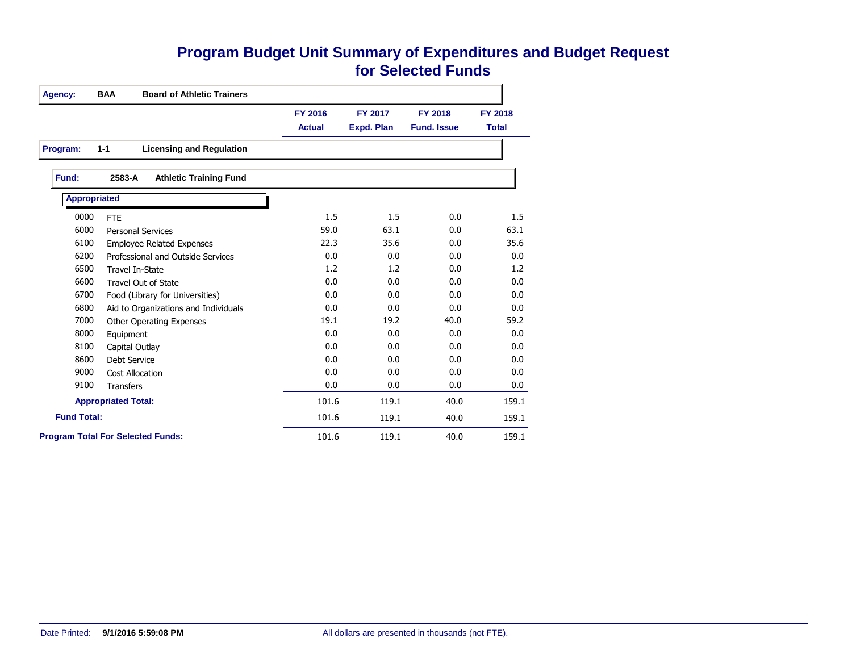#### **Program Budget Unit Summary of Expenditures and Budget Request for Selected Funds**

| <b>Agency:</b>      | <b>BAA</b><br><b>Board of Athletic Trainers</b> |                |                   |                    |              |
|---------------------|-------------------------------------------------|----------------|-------------------|--------------------|--------------|
|                     |                                                 | <b>FY 2016</b> | FY 2017           | <b>FY 2018</b>     | FY 2018      |
|                     |                                                 | <b>Actual</b>  | <b>Expd. Plan</b> | <b>Fund. Issue</b> | <b>Total</b> |
| Program:            | <b>Licensing and Regulation</b><br>$1 - 1$      |                |                   |                    |              |
| Fund:               | 2583-A<br><b>Athletic Training Fund</b>         |                |                   |                    |              |
| <b>Appropriated</b> |                                                 |                |                   |                    |              |
| 0000                | <b>FTE</b>                                      | 1.5            | 1.5               | 0.0                | 1.5          |
| 6000                | <b>Personal Services</b>                        | 59.0           | 63.1              | 0.0                | 63.1         |
| 6100                | <b>Employee Related Expenses</b>                | 22.3           | 35.6              | 0.0                | 35.6         |
| 6200                | Professional and Outside Services               | 0.0            | 0.0               | 0.0                | 0.0          |
| 6500                | <b>Travel In-State</b>                          | 1.2            | 1.2               | 0.0                | 1.2          |
| 6600                | Travel Out of State                             | 0.0            | 0.0               | 0.0                | 0.0          |
| 6700                | Food (Library for Universities)                 | 0.0            | 0.0               | 0.0                | 0.0          |
| 6800                | Aid to Organizations and Individuals            | 0.0            | 0.0               | 0.0                | 0.0          |
| 7000                | <b>Other Operating Expenses</b>                 | 19.1           | 19.2              | 40.0               | 59.2         |
| 8000                | Equipment                                       | 0.0            | 0.0               | 0.0                | 0.0          |
| 8100                | Capital Outlay                                  | 0.0            | 0.0               | 0.0                | 0.0          |
| 8600                | Debt Service                                    | 0.0            | 0.0               | 0.0                | 0.0          |
| 9000                | <b>Cost Allocation</b>                          | 0.0            | 0.0               | 0.0                | 0.0          |
| 9100                | <b>Transfers</b>                                | 0.0            | 0.0               | 0.0                | 0.0          |
|                     | <b>Appropriated Total:</b>                      | 101.6          | 119.1             | 40.0               | 159.1        |
| <b>Fund Total:</b>  |                                                 | 101.6          | 119.1             | 40.0               | 159.1        |
|                     | <b>Program Total For Selected Funds:</b>        | 101.6          | 119.1             | 40.0               | 159.1        |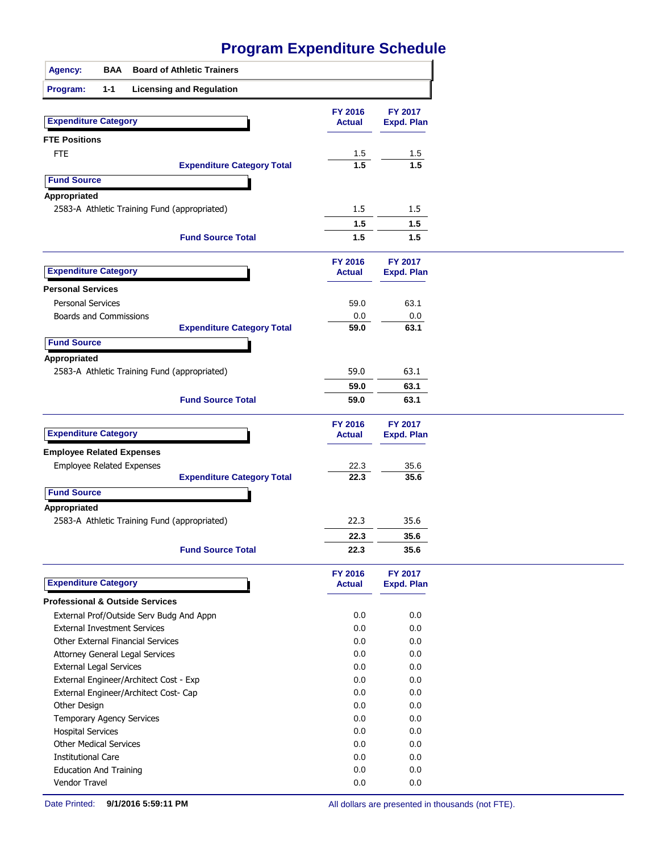| <b>Agency:</b><br>BAA                        | <b>Board of Athletic Trainers</b> |                                 |                                     |
|----------------------------------------------|-----------------------------------|---------------------------------|-------------------------------------|
| Program:<br>$1 - 1$                          | <b>Licensing and Regulation</b>   |                                 |                                     |
|                                              |                                   |                                 |                                     |
| <b>Expenditure Category</b>                  |                                   | <b>FY 2016</b><br><b>Actual</b> | <b>FY 2017</b><br><b>Expd. Plan</b> |
|                                              |                                   |                                 |                                     |
| <b>FTE Positions</b>                         |                                   |                                 |                                     |
| <b>FTE</b>                                   |                                   | 1.5<br>$\overline{1.5}$         | 1.5<br>1.5                          |
|                                              | <b>Expenditure Category Total</b> |                                 |                                     |
| <b>Fund Source</b>                           |                                   |                                 |                                     |
| Appropriated                                 |                                   |                                 |                                     |
| 2583-A Athletic Training Fund (appropriated) |                                   | 1.5                             | 1.5                                 |
|                                              |                                   | 1.5                             | 1.5                                 |
|                                              | <b>Fund Source Total</b>          | 1.5                             | 1.5                                 |
|                                              |                                   | FY 2016                         | FY 2017                             |
| <b>Expenditure Category</b>                  |                                   | <b>Actual</b>                   | <b>Expd. Plan</b>                   |
| <b>Personal Services</b>                     |                                   |                                 |                                     |
| <b>Personal Services</b>                     |                                   | 59.0                            | 63.1                                |
| Boards and Commissions                       |                                   | 0.0                             | 0.0                                 |
|                                              | <b>Expenditure Category Total</b> | 59.0                            | 63.1                                |
| <b>Fund Source</b>                           |                                   |                                 |                                     |
| Appropriated                                 |                                   |                                 |                                     |
| 2583-A Athletic Training Fund (appropriated) |                                   | 59.0                            | 63.1                                |
|                                              |                                   | 59.0                            | 63.1                                |
|                                              | <b>Fund Source Total</b>          | 59.0                            | 63.1                                |
|                                              |                                   | FY 2016                         | FY 2017                             |
| <b>Expenditure Category</b>                  |                                   | <b>Actual</b>                   | <b>Expd. Plan</b>                   |
|                                              |                                   |                                 |                                     |
| <b>Employee Related Expenses</b>             |                                   |                                 |                                     |
| <b>Employee Related Expenses</b>             | <b>Expenditure Category Total</b> | 22.3<br>22.3                    | 35.6<br>35.6                        |
|                                              |                                   |                                 |                                     |
| <b>Fund Source</b>                           |                                   |                                 |                                     |
| Appropriated                                 |                                   |                                 |                                     |
| 2583-A Athletic Training Fund (appropriated) |                                   | 22.3                            | 35.6                                |
|                                              |                                   | 22.3                            | 35.6                                |
|                                              | <b>Fund Source Total</b>          | 22.3                            | 35.6                                |
| <b>Expenditure Category</b>                  |                                   | <b>FY 2016</b><br><b>Actual</b> | FY 2017<br><b>Expd. Plan</b>        |
| <b>Professional &amp; Outside Services</b>   |                                   |                                 |                                     |
| External Prof/Outside Serv Budg And Appn     |                                   | 0.0                             | 0.0                                 |
| <b>External Investment Services</b>          |                                   | 0.0                             | 0.0                                 |
| Other External Financial Services            |                                   | 0.0                             | 0.0                                 |
| Attorney General Legal Services              |                                   | 0.0                             | 0.0                                 |
| External Legal Services                      |                                   | 0.0                             | 0.0                                 |
| External Engineer/Architect Cost - Exp       |                                   | 0.0                             | 0.0                                 |
| External Engineer/Architect Cost- Cap        |                                   | 0.0                             | 0.0                                 |
| Other Design                                 |                                   | 0.0                             | 0.0                                 |
| Temporary Agency Services                    |                                   | 0.0                             | 0.0                                 |
| <b>Hospital Services</b>                     |                                   | 0.0                             | 0.0                                 |
| <b>Other Medical Services</b>                |                                   | 0.0                             | 0.0                                 |
| <b>Institutional Care</b>                    |                                   | 0.0                             | 0.0                                 |
| <b>Education And Training</b>                |                                   | 0.0                             | 0.0                                 |
| Vendor Travel                                |                                   | 0.0                             | 0.0                                 |
|                                              |                                   |                                 |                                     |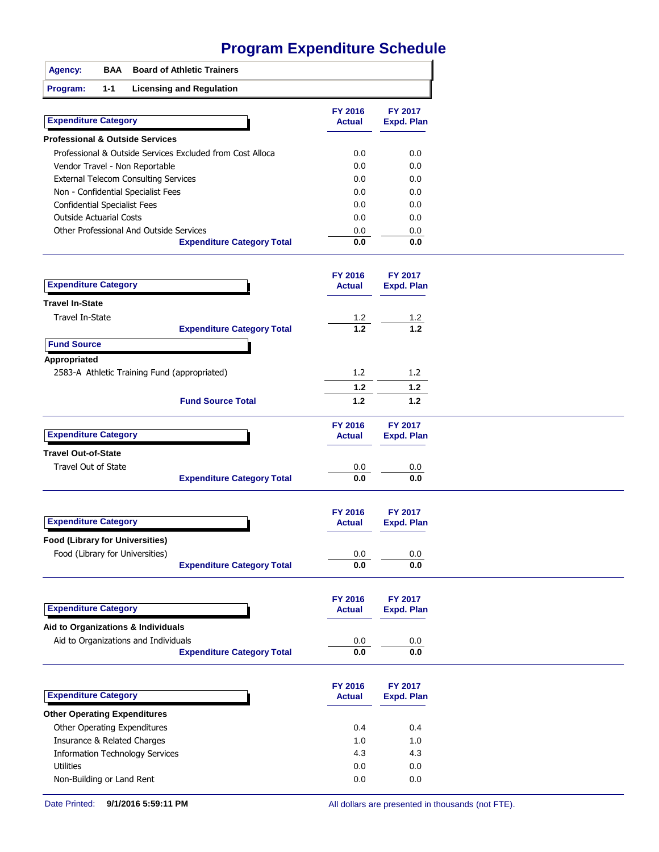|                                        |            | <u>Γινγιαμι Ελραμαιώσ συμερωσ</u>                         |                          |                              |
|----------------------------------------|------------|-----------------------------------------------------------|--------------------------|------------------------------|
| <b>Agency:</b>                         | <b>BAA</b> | <b>Board of Athletic Trainers</b>                         |                          |                              |
| Program:                               | $1 - 1$    | <b>Licensing and Regulation</b>                           |                          |                              |
| <b>Expenditure Category</b>            |            |                                                           | FY 2016<br><b>Actual</b> | FY 2017<br><b>Expd. Plan</b> |
|                                        |            | <b>Professional &amp; Outside Services</b>                |                          |                              |
|                                        |            | Professional & Outside Services Excluded from Cost Alloca | 0.0                      | 0.0                          |
|                                        |            | Vendor Travel - Non Reportable                            | 0.0                      | 0.0                          |
|                                        |            | <b>External Telecom Consulting Services</b>               | 0.0                      | 0.0                          |
|                                        |            | Non - Confidential Specialist Fees                        | 0.0                      | 0.0                          |
| <b>Confidential Specialist Fees</b>    |            |                                                           | 0.0                      | 0.0                          |
| <b>Outside Actuarial Costs</b>         |            |                                                           | 0.0                      | 0.0                          |
|                                        |            | Other Professional And Outside Services                   | 0.0                      | 0.0                          |
|                                        |            | <b>Expenditure Category Total</b>                         | 0.0                      | 0.0                          |
|                                        |            |                                                           | FY 2016                  | <b>FY 2017</b>               |
| <b>Expenditure Category</b>            |            |                                                           | <b>Actual</b>            | <b>Expd. Plan</b>            |
| Travel In-State                        |            |                                                           |                          |                              |
| Travel In-State                        |            |                                                           | 1.2                      | 1.2                          |
|                                        |            | <b>Expenditure Category Total</b>                         | $1.2$                    | 1.2                          |
| <b>Fund Source</b>                     |            |                                                           |                          |                              |
| Appropriated                           |            | 2583-A Athletic Training Fund (appropriated)              | 1.2                      | 1.2 <sub>2</sub>             |
|                                        |            |                                                           | 1.2                      | 1.2                          |
|                                        |            | <b>Fund Source Total</b>                                  | $1.2$                    | 1.2                          |
| <b>Expenditure Category</b>            |            |                                                           | FY 2016<br><b>Actual</b> | FY 2017<br><b>Expd. Plan</b> |
| <b>Travel Out-of-State</b>             |            |                                                           |                          |                              |
| Travel Out of State                    |            |                                                           |                          |                              |
|                                        |            | <b>Expenditure Category Total</b>                         | 0.0<br>0.0               | 0.0<br>0.0                   |
|                                        |            |                                                           |                          |                              |
|                                        |            |                                                           | <b>FY 2016</b>           | FY 2017                      |
| <b>Expenditure Category</b>            |            |                                                           | <b>Actual</b>            | <b>Expd. Plan</b>            |
| <b>Food (Library for Universities)</b> |            |                                                           |                          |                              |
|                                        |            | Food (Library for Universities)                           | $0.0\,$                  | 0.0                          |
|                                        |            | <b>Expenditure Category Total</b>                         | $0.0\,$                  | 0.0                          |
|                                        |            |                                                           |                          |                              |
| <b>Expenditure Category</b>            |            |                                                           | FY 2016<br><b>Actual</b> | FY 2017<br><b>Expd. Plan</b> |
|                                        |            | Aid to Organizations & Individuals                        |                          |                              |
|                                        |            |                                                           |                          |                              |

| Aid to Organizations and Individuals   |                                   | 0.0                      | 0.0                          |
|----------------------------------------|-----------------------------------|--------------------------|------------------------------|
|                                        | <b>Expenditure Category Total</b> | 0.0                      | 0.0                          |
| <b>Expenditure Category</b>            |                                   | FY 2016<br><b>Actual</b> | <b>FY 2017</b><br>Expd. Plan |
| <b>Other Operating Expenditures</b>    |                                   |                          |                              |
| Other Operating Expenditures           |                                   | 0.4                      | 0.4                          |
| Insurance & Related Charges            |                                   | 1.0                      | 1.0                          |
| <b>Information Technology Services</b> |                                   | 4.3                      | 4.3                          |
| <b>Utilities</b>                       |                                   | 0.0                      | 0.0                          |

Non-Building or Land Rent 0.0 0.0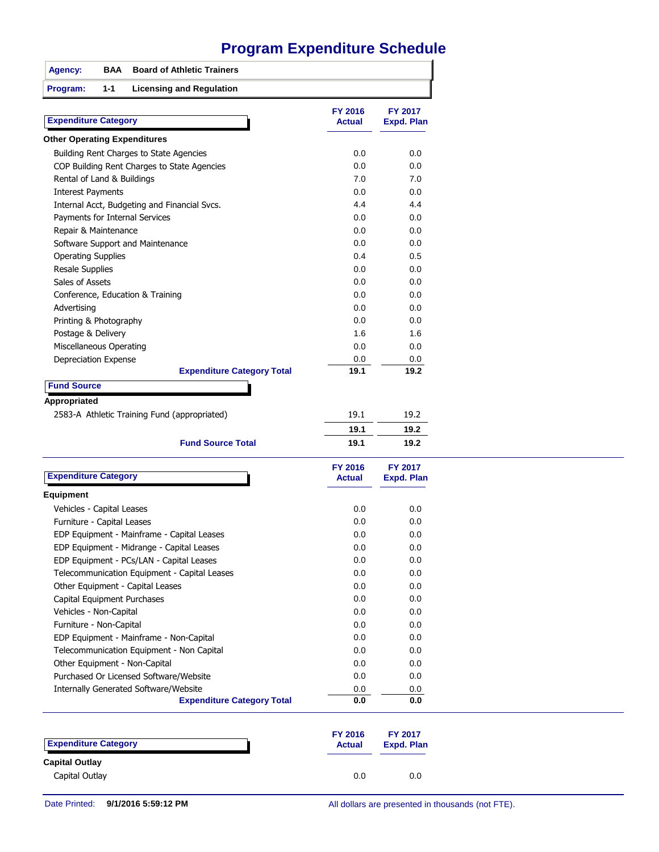| <b>Board of Athletic Trainers</b><br><b>Agency:</b><br>BAA                 |                                 |                              |
|----------------------------------------------------------------------------|---------------------------------|------------------------------|
| $1 - 1$<br>Program:<br><b>Licensing and Regulation</b>                     |                                 |                              |
| <b>Expenditure Category</b>                                                | FY 2016<br><b>Actual</b>        | FY 2017<br><b>Expd. Plan</b> |
| <b>Other Operating Expenditures</b>                                        |                                 |                              |
| Building Rent Charges to State Agencies                                    | 0.0                             | 0.0                          |
| COP Building Rent Charges to State Agencies                                | 0.0                             | 0.0                          |
| Rental of Land & Buildings                                                 | 7.0                             | 7.0                          |
| <b>Interest Payments</b>                                                   | 0.0                             | 0.0                          |
| Internal Acct, Budgeting and Financial Svcs.                               | 4.4                             | 4.4                          |
| Payments for Internal Services                                             | 0.0                             | 0.0                          |
| Repair & Maintenance                                                       | 0.0                             | 0.0                          |
| Software Support and Maintenance                                           | 0.0                             | 0.0                          |
| <b>Operating Supplies</b>                                                  | 0.4                             | 0.5                          |
| <b>Resale Supplies</b>                                                     | 0.0                             | 0.0                          |
| Sales of Assets                                                            | 0.0                             | 0.0                          |
| Conference, Education & Training                                           | 0.0                             | 0.0                          |
| Advertising                                                                | 0.0                             | 0.0                          |
| Printing & Photography                                                     | 0.0                             | 0.0                          |
| Postage & Delivery                                                         | 1.6                             | 1.6                          |
| <b>Miscellaneous Operating</b>                                             | 0.0                             | 0.0                          |
| Depreciation Expense                                                       | 0.0                             | 0.0                          |
| <b>Expenditure Category Total</b>                                          | 19.1                            | 19.2                         |
| <b>Fund Source</b>                                                         |                                 |                              |
| Appropriated                                                               |                                 |                              |
| 2583-A Athletic Training Fund (appropriated)                               | 19.1                            | 19.2                         |
|                                                                            | 19.1                            | 19.2                         |
| <b>Fund Source Total</b>                                                   | 19.1                            | 19.2                         |
|                                                                            |                                 |                              |
| <b>Expenditure Category</b>                                                | <b>FY 2016</b><br><b>Actual</b> | FY 2017<br><b>Expd. Plan</b> |
| Equipment                                                                  |                                 |                              |
| Vehicles - Capital Leases                                                  | 0.0                             | 0.0                          |
| Furniture - Capital Leases                                                 | 0.0                             | 0.0                          |
| EDP Equipment - Mainframe - Capital Leases                                 | 0.0                             | 0.0                          |
| EDP Equipment - Midrange - Capital Leases                                  | 0.0                             | 0.0                          |
| EDP Equipment - PCs/LAN - Capital Leases                                   | 0.0                             | 0.0                          |
| Telecommunication Equipment - Capital Leases                               | 0.0                             | 0.0                          |
| Other Equipment - Capital Leases                                           | 0.0                             | 0.0                          |
| Capital Equipment Purchases                                                | 0.0                             | 0.0                          |
| Vehicles - Non-Capital                                                     | 0.0                             | 0.0                          |
| Furniture - Non-Capital                                                    | 0.0                             | 0.0                          |
| EDP Equipment - Mainframe - Non-Capital                                    | 0.0                             | 0.0                          |
|                                                                            |                                 |                              |
| Telecommunication Equipment - Non Capital                                  | 0.0                             | 0.0                          |
| Other Equipment - Non-Capital                                              | 0.0                             | 0.0                          |
| Purchased Or Licensed Software/Website                                     | 0.0                             | 0.0                          |
| Internally Generated Software/Website<br><b>Expenditure Category Total</b> | 0.0<br>0.0                      | 0.0<br>0.0                   |
|                                                                            |                                 |                              |
|                                                                            | FY 2016                         | FY 2017                      |
| <b>Expenditure Category</b>                                                | <b>Actual</b>                   | <b>Expd. Plan</b>            |
| <b>Capital Outlay</b>                                                      |                                 |                              |
| Capital Outlay                                                             | 0.0                             | 0.0                          |
|                                                                            |                                 |                              |

Date Printed: **9/1/2016 5:59:12 PM** All dollars are presented in thousands (not FTE).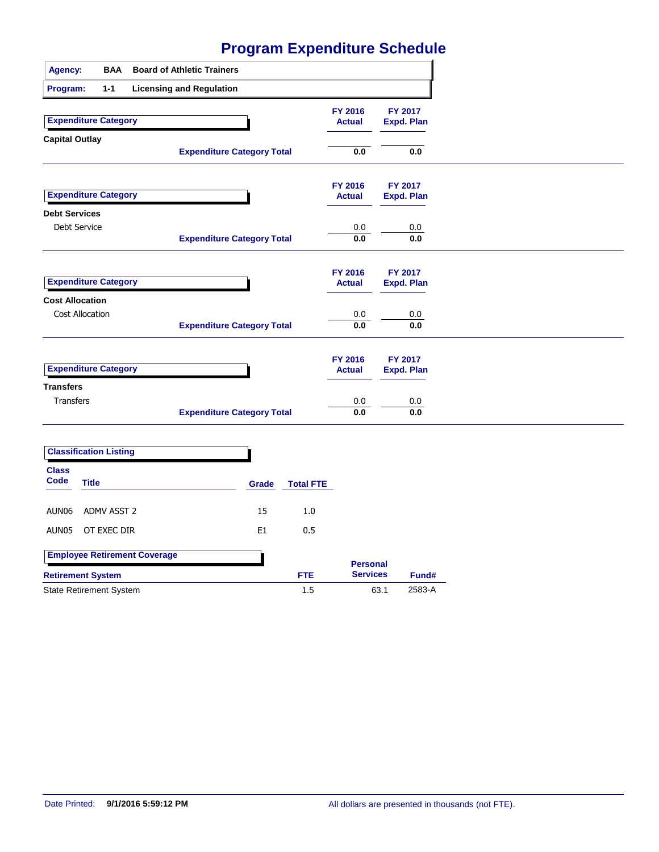| Agency:                                              |                 | <b>BAA</b> |                                     | <b>Board of Athletic Trainers</b> |                |                  |                          |      |                              |
|------------------------------------------------------|-----------------|------------|-------------------------------------|-----------------------------------|----------------|------------------|--------------------------|------|------------------------------|
| Program:                                             |                 | $1 - 1$    |                                     | <b>Licensing and Regulation</b>   |                |                  |                          |      |                              |
| <b>Expenditure Category</b><br><b>Capital Outlay</b> |                 |            |                                     |                                   |                |                  | FY 2016<br><b>Actual</b> |      | FY 2017<br><b>Expd. Plan</b> |
|                                                      |                 |            |                                     | <b>Expenditure Category Total</b> |                |                  | $\mathbf{0.0}$           |      | 0.0                          |
| <b>Expenditure Category</b>                          |                 |            |                                     |                                   |                |                  | FY 2016<br><b>Actual</b> |      | FY 2017<br>Expd. Plan        |
| <b>Debt Services</b>                                 | Debt Service    |            |                                     | <b>Expenditure Category Total</b> |                |                  | 0.0<br>0.0               |      | $0.0\,$<br>0.0               |
| <b>Expenditure Category</b>                          |                 |            |                                     |                                   |                |                  | FY 2016<br><b>Actual</b> |      | FY 2017<br>Expd. Plan        |
| <b>Cost Allocation</b>                               | Cost Allocation |            |                                     | <b>Expenditure Category Total</b> |                |                  | $0.0\,$<br>0.0           |      | $0.0\,$<br>0.0               |
| <b>Expenditure Category</b>                          |                 |            |                                     |                                   |                |                  | FY 2016<br><b>Actual</b> |      | FY 2017<br><b>Expd. Plan</b> |
| <b>Transfers</b><br><b>Transfers</b>                 |                 |            |                                     | <b>Expenditure Category Total</b> |                |                  | 0.0<br>0.0               |      | 0.0<br>0.0                   |
| <b>Classification Listing</b>                        |                 |            |                                     |                                   |                |                  |                          |      |                              |
| <b>Class</b><br>Code                                 | <b>Title</b>    |            |                                     |                                   | Grade          | <b>Total FTE</b> |                          |      |                              |
| AUN06                                                | ADMV ASST 2     |            |                                     |                                   | 15             | 1.0              |                          |      |                              |
| AUN05                                                | OT EXEC DIR     |            |                                     |                                   | E <sub>1</sub> | 0.5              |                          |      |                              |
|                                                      |                 |            | <b>Employee Retirement Coverage</b> |                                   |                |                  | <b>Personal</b>          |      |                              |
| <b>Retirement System</b>                             |                 |            |                                     |                                   |                | <b>FTE</b>       | <b>Services</b>          |      | Fund#                        |
| <b>State Retirement System</b>                       |                 |            |                                     |                                   |                | 1.5              |                          | 63.1 | 2583-A                       |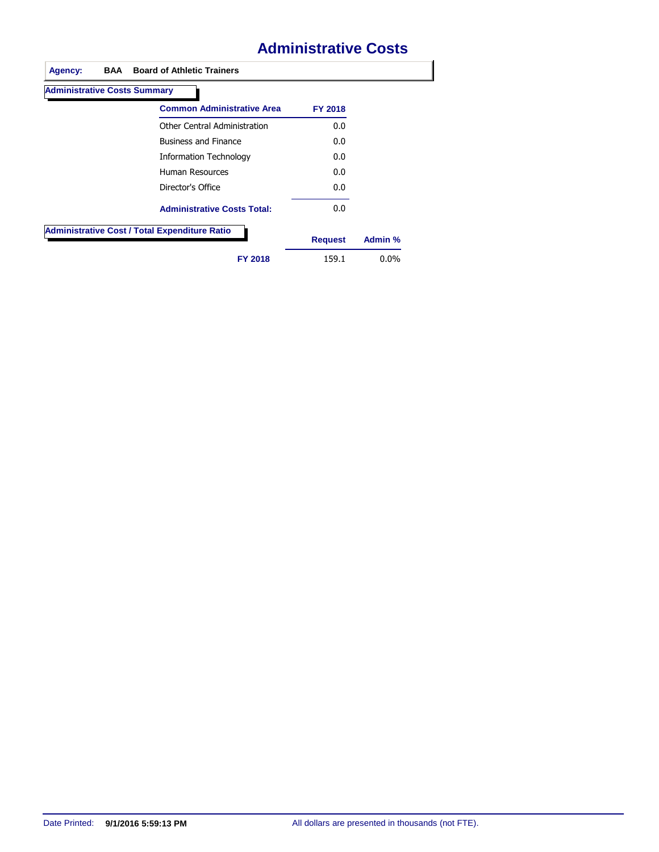## **Administrative Costs**

| <b>Administrative Costs Summary</b> |                                                      |                |         |
|-------------------------------------|------------------------------------------------------|----------------|---------|
|                                     | <b>Common Administrative Area</b>                    | <b>FY 2018</b> |         |
|                                     | Other Central Administration                         | 0.0            |         |
|                                     | <b>Business and Finance</b>                          | 0.0            |         |
|                                     | Information Technology                               | 0.0            |         |
|                                     | Human Resources                                      | 0.0            |         |
|                                     | Director's Office                                    | 0.0            |         |
|                                     | <b>Administrative Costs Total:</b>                   | 0.0            |         |
|                                     | <b>Administrative Cost / Total Expenditure Ratio</b> | <b>Request</b> | Admin % |
|                                     |                                                      |                |         |
|                                     | <b>FY 2018</b>                                       | 159.1          | $0.0\%$ |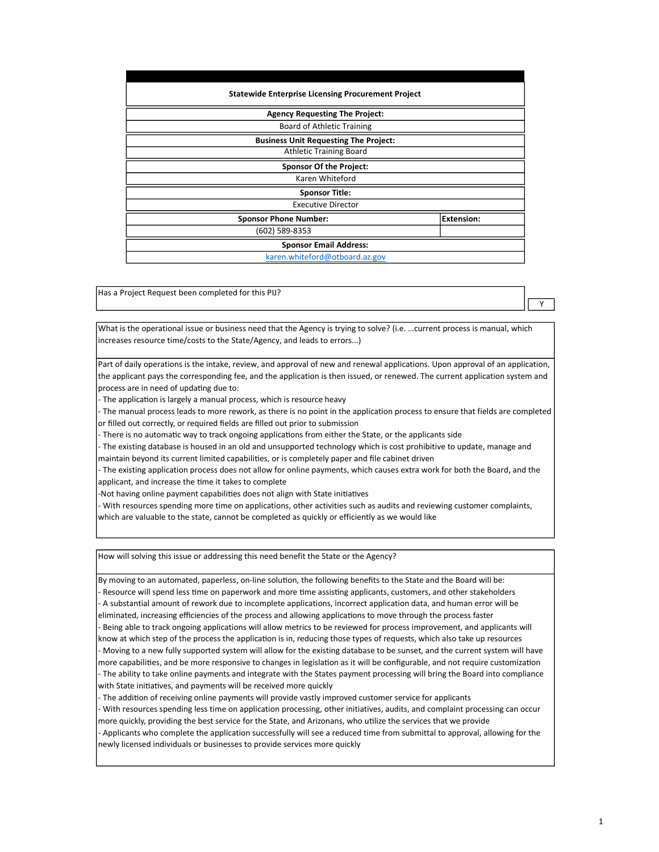| <b>Statewide Enterprise Licensing Procurement Project</b> |                   |
|-----------------------------------------------------------|-------------------|
| <b>Agency Requesting The Project:</b>                     |                   |
| <b>Board of Athletic Training</b>                         |                   |
| <b>Business Unit Requesting The Project:</b>              |                   |
| <b>Athletic Training Board</b>                            |                   |
| <b>Sponsor Of the Project:</b>                            |                   |
| Karen Whiteford                                           |                   |
| <b>Sponsor Title:</b>                                     |                   |
| <b>Executive Director</b>                                 |                   |
| <b>Sponsor Phone Number:</b>                              | <b>Extension:</b> |
| (602) 589-8353                                            |                   |
| <b>Sponsor Email Address:</b>                             |                   |
| karen.whiteford@otboard.az.gov                            |                   |

Has a Project Request been completed for this PIJ?

What is the operational issue or business need that the Agency is trying to solve? (i.e. …current process is manual, which increases resource time/costs to the State/Agency, and leads to errors...)

Part of daily operations is the intake, review, and approval of new and renewal applications. Upon approval of an application, the applicant pays the corresponding fee, and the application is then issued, or renewed. The current application system and process are in need of updating due to:

- The application is largely a manual process, which is resource heavy

- The manual process leads to more rework, as there is no point in the application process to ensure that fields are completed or filled out correctly, or required fields are filled out prior to submission

There is no automatic way to track ongoing applications from either the State, or the applicants side

- The existing database is housed in an old and unsupported technology which is cost prohibitive to update, manage and maintain beyond its current limited capabilities, or is completely paper and file cabinet driven

The existing application process does not allow for online payments, which causes extra work for both the Board, and the applicant, and increase the time it takes to complete

-Not having online payment capabilities does not align with State initiatives

With resources spending more time on applications, other activities such as audits and reviewing customer complaints, which are valuable to the state, cannot be completed as quickly or efficiently as we would like

How will solving this issue or addressing this need benefit the State or the Agency?

By moving to an automated, paperless, on-line solution, the following benefits to the State and the Board will be: - Resource will spend less time on paperwork and more time assisting applicants, customers, and other stakeholders - A substantial amount of rework due to incomplete applications, incorrect application data, and human error will be eliminated, increasing efficiencies of the process and allowing applications to move through the process faster - Being able to track ongoing applications will allow metrics to be reviewed for process improvement, and applicants will

know at which step of the process the application is in, reducing those types of requests, which also take up resources - Moving to a new fully supported system will allow for the existing database to be sunset, and the current system will have more capabilities, and be more responsive to changes in legislation as it will be configurable, and not require customization - The ability to take online payments and integrate with the States payment processing will bring the Board into compliance with State initiatives, and payments will be received more quickly

The addition of receiving online payments will provide vastly improved customer service for applicants

- With resources spending less time on application processing, other initiatives, audits, and complaint processing can occur more quickly, providing the best service for the State, and Arizonans, who utilize the services that we provide

- Applicants who complete the application successfully will see a reduced time from submittal to approval, allowing for the newly licensed individuals or businesses to provide services more quickly

Y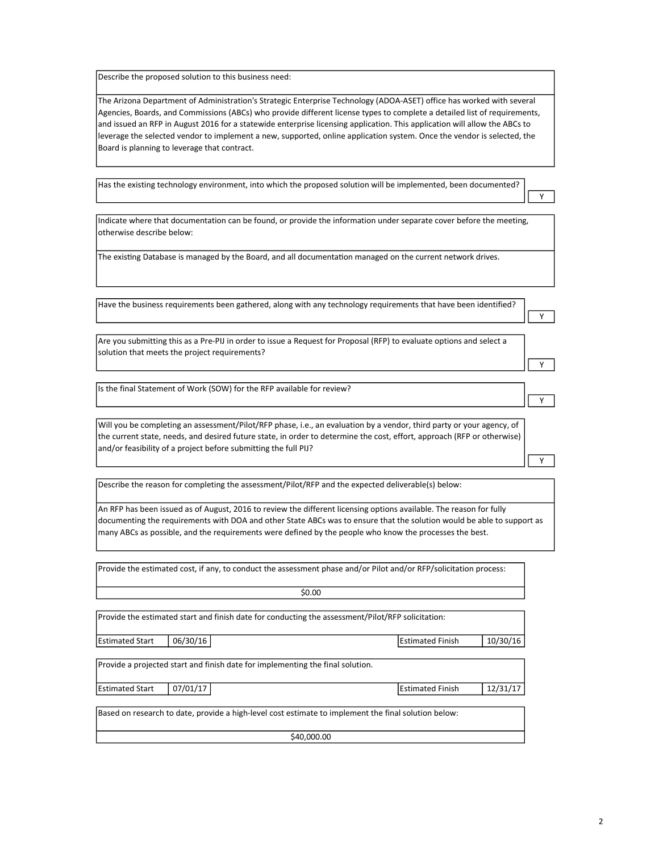Describe the proposed solution to this business need:

The Arizona Department of Administration's Strategic Enterprise Technology (ADOA-ASET) office has worked with several Agencies, Boards, and Commissions (ABCs) who provide different license types to complete a detailed list of requirements, and issued an RFP in August 2016 for a statewide enterprise licensing application. This application will allow the ABCs to leverage the selected vendor to implement a new, supported, online application system. Once the vendor is selected, the Board is planning to leverage that contract.

Has the existing technology environment, into which the proposed solution will be implemented, been documented?

Indicate where that documentation can be found, or provide the information under separate cover before the meeting, otherwise describe below:

The existing Database is managed by the Board, and all documentation managed on the current network drives.

Have the business requirements been gathered, along with any technology requirements that have been identified?

Are you submitting this as a Pre-PIJ in order to issue a Request for Proposal (RFP) to evaluate options and select a solution that meets the project requirements?

Is the final Statement of Work (SOW) for the RFP available for review?

Will you be completing an assessment/Pilot/RFP phase, i.e., an evaluation by a vendor, third party or your agency, of the current state, needs, and desired future state, in order to determine the cost, effort, approach (RFP or otherwise) and/or feasibility of a project before submitting the full PIJ?

Describe the reason for completing the assessment/Pilot/RFP and the expected deliverable(s) below:

An RFP has been issued as of August, 2016 to review the different licensing options available. The reason for fully documenting the requirements with DOA and other State ABCs was to ensure that the solution would be able to support as many ABCs as possible, and the requirements were defined by the people who know the processes the best.

Provide the estimated cost, if any, to conduct the assessment phase and/or Pilot and/or RFP/solicitation process:

Provide the estimated start and finish date for conducting the assessment/Pilot/RFP solicitation:

Estimated Start | 06/30/16 | 2009 | 2009 | 2010 | 2010 | 2010 | 2010 | 2010 | 2010 | 2010 | 2010 | 2010 | 2010

Y

Y

Y

Y

Y

Provide a projected start and finish date for implementing the final solution.

Estimated Start | 07/01/17 | The State of Table 12/31/17 | Estimated Finish | 12/31/17

Based on research to date, provide a high-level cost estimate to implement the final solution below:

\$40,000.00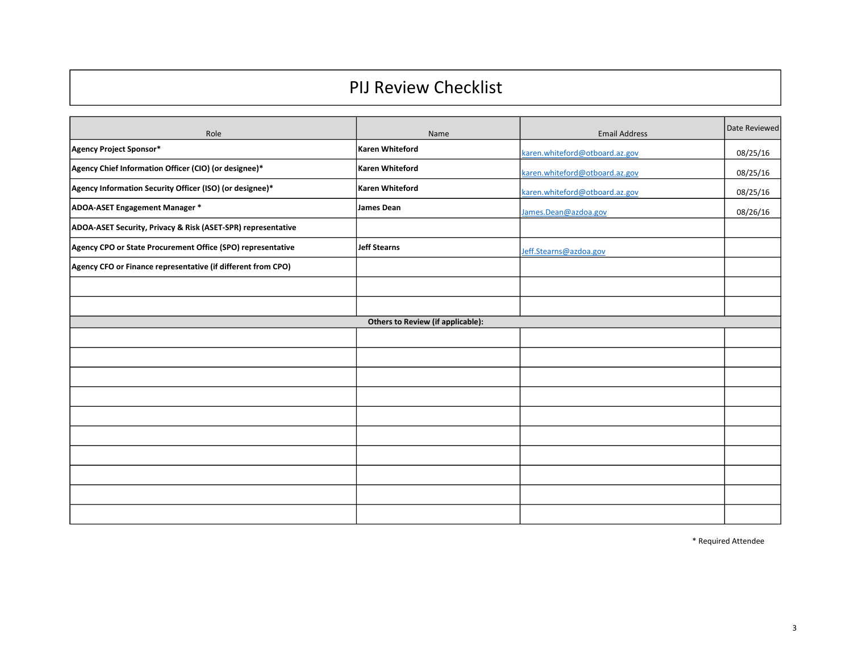# PIJ Review Checklist

| Role                                                         | Name                                     | <b>Email Address</b>           | Date Reviewed |
|--------------------------------------------------------------|------------------------------------------|--------------------------------|---------------|
| Agency Project Sponsor*                                      | Karen Whiteford                          | karen.whiteford@otboard.az.gov | 08/25/16      |
| Agency Chief Information Officer (CIO) (or designee)*        | Karen Whiteford                          | karen.whiteford@otboard.az.gov | 08/25/16      |
| Agency Information Security Officer (ISO) (or designee)*     | Karen Whiteford                          | karen.whiteford@otboard.az.gov | 08/25/16      |
| ADOA-ASET Engagement Manager *                               | James Dean                               | James.Dean@azdoa.gov           | 08/26/16      |
| ADOA-ASET Security, Privacy & Risk (ASET-SPR) representative |                                          |                                |               |
| Agency CPO or State Procurement Office (SPO) representative  | Jeff Stearns                             | Jeff.Stearns@azdoa.gov         |               |
| Agency CFO or Finance representative (if different from CPO) |                                          |                                |               |
|                                                              |                                          |                                |               |
|                                                              |                                          |                                |               |
|                                                              | <b>Others to Review (if applicable):</b> |                                |               |
|                                                              |                                          |                                |               |
|                                                              |                                          |                                |               |
|                                                              |                                          |                                |               |
|                                                              |                                          |                                |               |
|                                                              |                                          |                                |               |
|                                                              |                                          |                                |               |
|                                                              |                                          |                                |               |
|                                                              |                                          |                                |               |
|                                                              |                                          |                                |               |
|                                                              |                                          |                                |               |

\* Required Attendee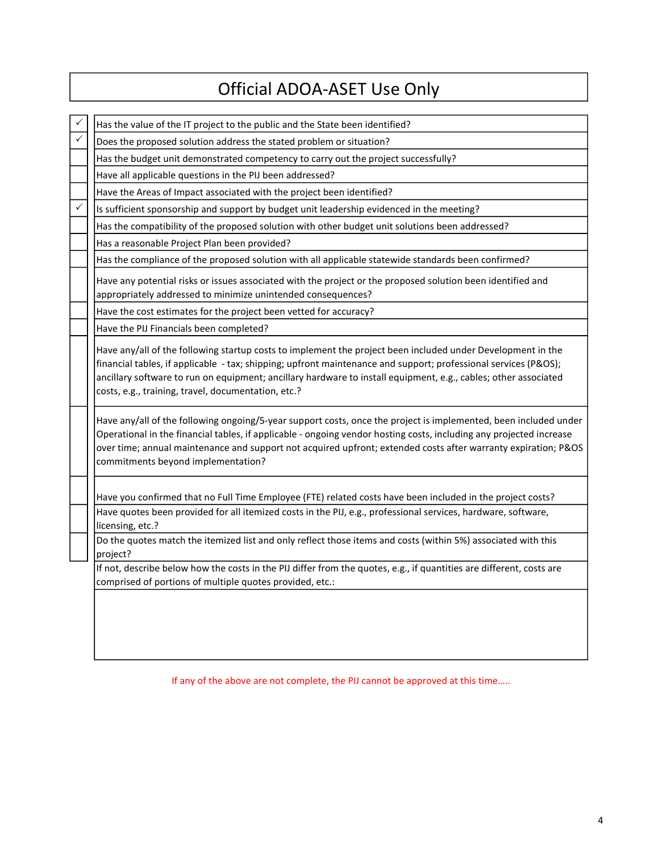# Official ADOA-ASET Use Only

| Has the value of the IT project to the public and the State been identified?                                                                                                                                                                                                                                                                                                                             |
|----------------------------------------------------------------------------------------------------------------------------------------------------------------------------------------------------------------------------------------------------------------------------------------------------------------------------------------------------------------------------------------------------------|
| Does the proposed solution address the stated problem or situation?                                                                                                                                                                                                                                                                                                                                      |
| Has the budget unit demonstrated competency to carry out the project successfully?                                                                                                                                                                                                                                                                                                                       |
| Have all applicable questions in the PIJ been addressed?                                                                                                                                                                                                                                                                                                                                                 |
| Have the Areas of Impact associated with the project been identified?                                                                                                                                                                                                                                                                                                                                    |
| Is sufficient sponsorship and support by budget unit leadership evidenced in the meeting?                                                                                                                                                                                                                                                                                                                |
| Has the compatibility of the proposed solution with other budget unit solutions been addressed?                                                                                                                                                                                                                                                                                                          |
| Has a reasonable Project Plan been provided?                                                                                                                                                                                                                                                                                                                                                             |
| Has the compliance of the proposed solution with all applicable statewide standards been confirmed?                                                                                                                                                                                                                                                                                                      |
| Have any potential risks or issues associated with the project or the proposed solution been identified and<br>appropriately addressed to minimize unintended consequences?                                                                                                                                                                                                                              |
| Have the cost estimates for the project been vetted for accuracy?                                                                                                                                                                                                                                                                                                                                        |
| Have the PIJ Financials been completed?                                                                                                                                                                                                                                                                                                                                                                  |
| Have any/all of the following startup costs to implement the project been included under Development in the<br>financial tables, if applicable - tax; shipping; upfront maintenance and support; professional services (P&OS);<br>ancillary software to run on equipment; ancillary hardware to install equipment, e.g., cables; other associated<br>costs, e.g., training, travel, documentation, etc.? |
| Have any/all of the following ongoing/5-year support costs, once the project is implemented, been included under<br>Operational in the financial tables, if applicable - ongoing vendor hosting costs, including any projected increase<br>over time; annual maintenance and support not acquired upfront; extended costs after warranty expiration; P&OS<br>commitments beyond implementation?          |
| Have you confirmed that no Full Time Employee (FTE) related costs have been included in the project costs?                                                                                                                                                                                                                                                                                               |
| Have quotes been provided for all itemized costs in the PIJ, e.g., professional services, hardware, software,<br>licensing, etc.?                                                                                                                                                                                                                                                                        |
| Do the quotes match the itemized list and only reflect those items and costs (within 5%) associated with this<br>project?                                                                                                                                                                                                                                                                                |
| If not, describe below how the costs in the PIJ differ from the quotes, e.g., if quantities are different, costs are<br>comprised of portions of multiple quotes provided, etc.:                                                                                                                                                                                                                         |
|                                                                                                                                                                                                                                                                                                                                                                                                          |
|                                                                                                                                                                                                                                                                                                                                                                                                          |

If any of the above are not complete, the PIJ cannot be approved at this time…..